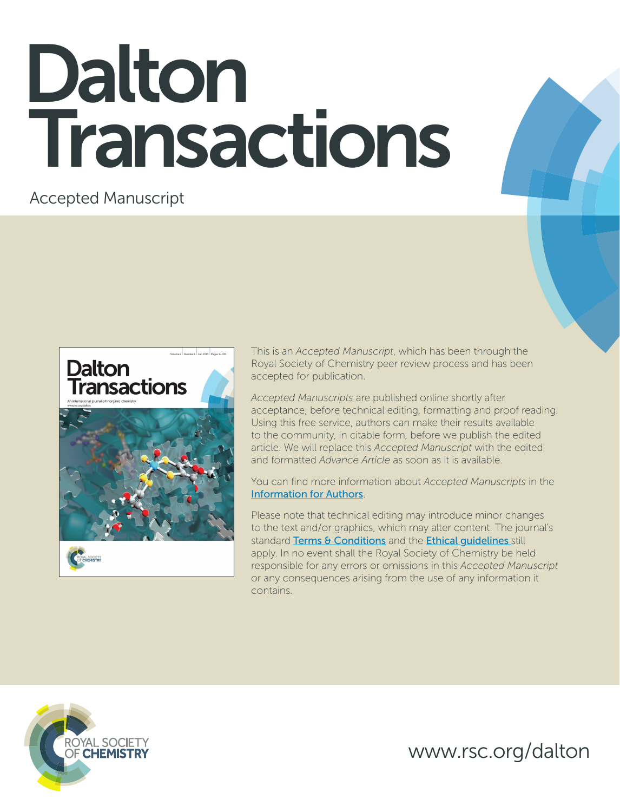# Dalton Transactions

Accepted Manuscript



This is an *Accepted Manuscript*, which has been through the Royal Society of Chemistry peer review process and has been accepted for publication.

*Accepted Manuscripts* are published online shortly after acceptance, before technical editing, formatting and proof reading. Using this free service, authors can make their results available to the community, in citable form, before we publish the edited article. We will replace this *Accepted Manuscript* with the edited and formatted *Advance Article* as soon as it is available.

You can find more information about *Accepted Manuscripts* in the [Information for Authors](http://www.rsc.org/Publishing/Journals/guidelines/AuthorGuidelines/JournalPolicy/accepted_manuscripts.asp).

Please note that technical editing may introduce minor changes to the text and/or graphics, which may alter content. The journal's standard [Terms & Conditions](http://www.rsc.org/help/termsconditions.asp) and the Ethical quidelines still apply. In no event shall the Royal Society of Chemistry be held responsible for any errors or omissions in this *Accepted Manuscript* or any consequences arising from the use of any information it contains.



www.rsc.org/dalton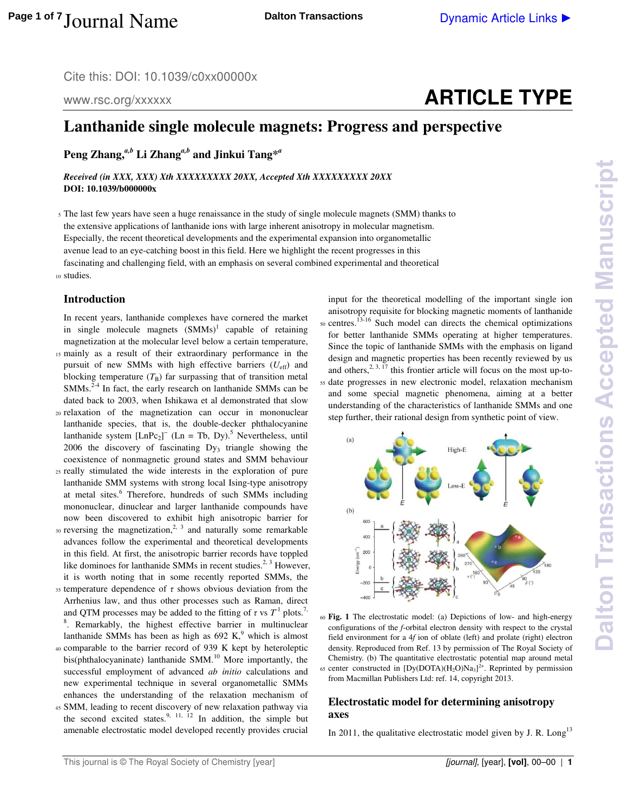Cite this: DOI: 10.1039/c0xx00000x

www.rsc.org/xxxxxx

## **ARTICLE TYPE**

### **Lanthanide single molecule magnets: Progress and perspective**

**Peng Zhang,***a,b* **Li Zhang***a,b* **and Jinkui Tang\****<sup>a</sup>*

*Received (in XXX, XXX) Xth XXXXXXXXX 20XX, Accepted Xth XXXXXXXXX 20XX*  **DOI: 10.1039/b000000x** 

<sup>5</sup>The last few years have seen a huge renaissance in the study of single molecule magnets (SMM) thanks to the extensive applications of lanthanide ions with large inherent anisotropy in molecular magnetism. Especially, the recent theoretical developments and the experimental expansion into organometallic avenue lead to an eye-catching boost in this field. Here we highlight the recent progresses in this fascinating and challenging field, with an emphasis on several combined experimental and theoretical 10 studies.

#### **Introduction**

In recent years, lanthanide complexes have cornered the market in single molecule magnets  $(SMMs)^1$  capable of retaining magnetization at the molecular level below a certain temperature,

- 15 mainly as a result of their extraordinary performance in the pursuit of new SMMs with high effective barriers (*U*eff) and blocking temperature  $(T_B)$  far surpassing that of transition metal SMMs.<sup>2-4</sup> In fact, the early research on lanthanide SMMs can be dated back to 2003, when Ishikawa et al demonstrated that slow
- <sup>20</sup>relaxation of the magnetization can occur in mononuclear lanthanide species, that is, the double-decker phthalocyanine lanthanide system  $[LnPc_2]^-$  (Ln = Tb, Dy).<sup>5</sup> Nevertheless, until 2006 the discovery of fascinating  $Dy_3$  triangle showing the coexistence of nonmagnetic ground states and SMM behaviour
- <sup>25</sup>really stimulated the wide interests in the exploration of pure lanthanide SMM systems with strong local Ising-type anisotropy at metal sites.<sup>6</sup> Therefore, hundreds of such SMMs including mononuclear, dinuclear and larger lanthanide compounds have now been discovered to exhibit high anisotropic barrier for
- $\sigma$ 30 reversing the magnetization, $\sigma$ <sup>2, 3</sup> and naturally some remarkable advances follow the experimental and theoretical developments in this field. At first, the anisotropic barrier records have toppled like dominoes for lanthanide SMMs in recent studies.<sup>2, 3</sup> However, it is worth noting that in some recently reported SMMs, the
- $35$  temperature dependence of  $\tau$  shows obvious deviation from the Arrhenius law, and thus other processes such as Raman, direct and QTM processes may be added to the fitting of  $\tau$  vs  $T^1$  plots.<sup>7,</sup> <sup>8</sup>. Remarkably, the highest effective barrier in multinuclear lanthanide SMMs has been as high as  $692$  K,<sup>9</sup> which is almost
- <sup>40</sup>comparable to the barrier record of 939 K kept by heteroleptic bis(phthalocyaninate) lanthanide SMM.<sup>10</sup> More importantly, the successful employment of advanced *ab initio* calculations and new experimental technique in several organometallic SMMs enhances the understanding of the relaxation mechanism of
- <sup>45</sup>SMM, leading to recent discovery of new relaxation pathway via the second excited states.<sup>9, 11, 12</sup> In addition, the simple but amenable electrostatic model developed recently provides crucial

input for the theoretical modelling of the important single ion anisotropy requisite for blocking magnetic moments of lanthanide 50 centres.<sup>13-16</sup> Such model can directs the chemical optimizations for better lanthanide SMMs operating at higher temperatures. Since the topic of lanthanide SMMs with the emphasis on ligand design and magnetic properties has been recently reviewed by us and others,  $2, 3, 17$  this frontier article will focus on the most up-to-<sup>55</sup>date progresses in new electronic model, relaxation mechanism and some special magnetic phenomena, aiming at a better understanding of the characteristics of lanthanide SMMs and one step further, their rational design from synthetic point of view.



<sup>60</sup>**Fig. 1** The electrostatic model: (a) Depictions of low- and high-energy configurations of the *f*-orbital electron density with respect to the crystal field environment for a 4*f* ion of oblate (left) and prolate (right) electron density. Reproduced from Ref. 13 by permission of The Royal Society of Chemistry. (b) The quantitative electrostatic potential map around metal 65 center constructed in  $[Dy(DOTA)(H_2O)Na_3]^{2+}$ . Reprinted by permission from Macmillan Publishers Ltd: ref. 14, copyright 2013.

#### **Electrostatic model for determining anisotropy axes**

In 2011, the qualitative electrostatic model given by J. R. Long<sup>13</sup>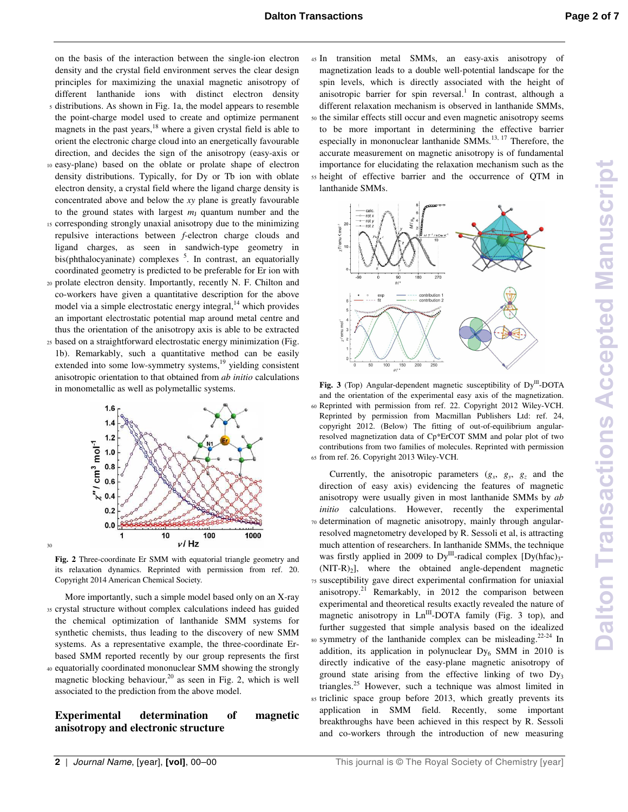on the basis of the interaction between the single-ion electron density and the crystal field environment serves the clear design principles for maximizing the unaxial magnetic anisotropy of different lanthanide ions with distinct electron density <sup>5</sup>distributions. As shown in Fig. 1a, the model appears to resemble

- the point-charge model used to create and optimize permanent magnets in the past years, $18$  where a given crystal field is able to orient the electronic charge cloud into an energetically favourable direction, and decides the sign of the anisotropy (easy-axis or
- <sup>10</sup>easy-plane) based on the oblate or prolate shape of electron density distributions. Typically, for Dy or Tb ion with oblate electron density, a crystal field where the ligand charge density is concentrated above and below the *xy* plane is greatly favourable to the ground states with largest  $m<sub>J</sub>$  quantum number and the
- <sup>15</sup>corresponding strongly unaxial anisotropy due to the minimizing repulsive interactions between *f*-electron charge clouds and ligand charges, as seen in sandwich-type geometry in bis(phthalocyaninate) complexes <sup>5</sup>. In contrast, an equatorially coordinated geometry is predicted to be preferable for Er ion with
- 20 prolate electron density. Importantly, recently N. F. Chilton and co-workers have given a quantitative description for the above model via a simple electrostatic energy integral, $^{14}$  which provides an important electrostatic potential map around metal centre and thus the orientation of the anisotropy axis is able to be extracted
- <sup>25</sup>based on a straightforward electrostatic energy minimization (Fig. 1b). Remarkably, such a quantitative method can be easily extended into some low-symmetry systems, $^{19}$  yielding consistent anisotropic orientation to that obtained from *ab initio* calculations in monometallic as well as polymetallic systems.



**Fig. 2** Three-coordinate Er SMM with equatorial triangle geometry and its relaxation dynamics. Reprinted with permission from ref. 20. Copyright 2014 American Chemical Society.

 More importantly, such a simple model based only on an X-ray <sup>35</sup>crystal structure without complex calculations indeed has guided the chemical optimization of lanthanide SMM systems for synthetic chemists, thus leading to the discovery of new SMM systems. As a representative example, the three-coordinate Erbased SMM reported recently by our group represents the first <sup>40</sup>equatorially coordinated mononuclear SMM showing the strongly

magnetic blocking behaviour,<sup>20</sup> as seen in Fig. 2, which is well associated to the prediction from the above model.

**Experimental determination of magnetic anisotropy and electronic structure**

<sup>45</sup>In transition metal SMMs, an easy-axis anisotropy of magnetization leads to a double well-potential landscape for the spin levels, which is directly associated with the height of anisotropic barrier for spin reversal.<sup>1</sup> In contrast, although a different relaxation mechanism is observed in lanthanide SMMs, <sup>50</sup>the similar effects still occur and even magnetic anisotropy seems to be more important in determining the effective barrier especially in mononuclear lanthanide SMMs.<sup>13, 17</sup> Therefore, the accurate measurement on magnetic anisotropy is of fundamental importance for elucidating the relaxation mechanism such as the <sup>55</sup>height of effective barrier and the occurrence of QTM in lanthanide SMMs.



Fig. 3 (Top) Angular-dependent magnetic susceptibility of Dy<sup>III</sup>-DOTA and the orientation of the experimental easy axis of the magnetization. <sup>60</sup>Reprinted with permission from ref. 22. Copyright 2012 Wiley-VCH. Reprinted by permission from Macmillan Publishers Ltd: ref. 24, copyright 2012. (Below) The fitting of out-of-equilibrium angularresolved magnetization data of Cp\*ErCOT SMM and polar plot of two contributions from two families of molecules. Reprinted with permission 65 from ref. 26. Copyright 2013 Wiley-VCH.

Currently, the anisotropic parameters  $(g_x, g_y, g_z)$  and the direction of easy axis) evidencing the features of magnetic anisotropy were usually given in most lanthanide SMMs by *ab initio* calculations. However, recently the experimental 70 determination of magnetic anisotropy, mainly through angularresolved magnetometry developed by R. Sessoli et al, is attracting much attention of researchers. In lanthanide SMMs, the technique was firstly applied in 2009 to  $Dy^{III}$ -radical complex  $[Dy(hfac)_{3}$ - $(NIT-R)<sub>2</sub>$ ], where the obtained angle-dependent magnetic <sup>75</sup>susceptibility gave direct experimental confirmation for uniaxial anisotropy.<sup>21</sup> Remarkably, in 2012 the comparison between experimental and theoretical results exactly revealed the nature of magnetic anisotropy in  $Ln^{III}$ -DOTA family (Fig. 3 top), and further suggested that simple analysis based on the idealized so symmetry of the lanthanide complex can be misleading.<sup>22-24</sup> In addition, its application in polynuclear Dy<sub>6</sub> SMM in 2010 is directly indicative of the easy-plane magnetic anisotropy of ground state arising from the effective linking of two  $Dy_3$ triangles.<sup>25</sup> However, such a technique was almost limited in <sup>85</sup>triclinic space group before 2013, which greatly prevents its application in SMM field. Recently, some important breakthroughs have been achieved in this respect by R. Sessoli and co-workers through the introduction of new measuring

30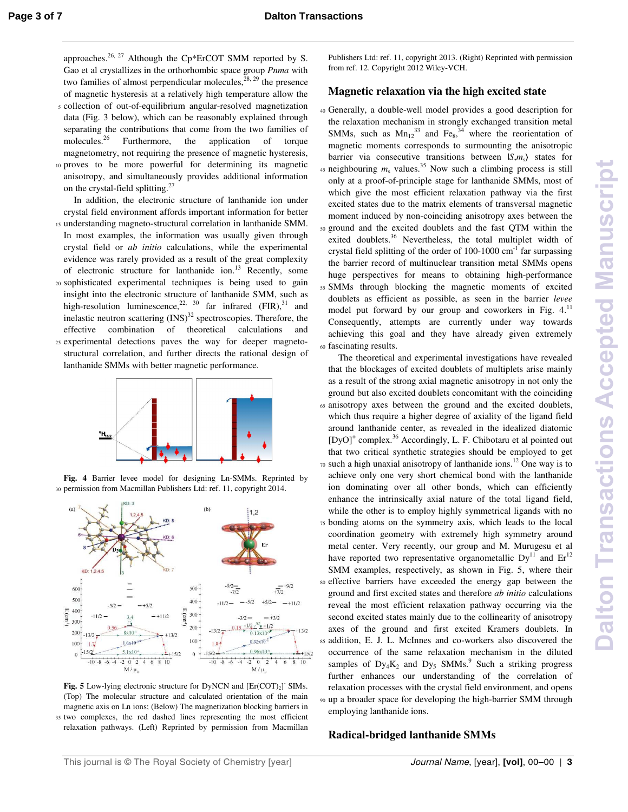approaches.<sup>26, 27</sup> Although the Cp\*ErCOT SMM reported by S. Gao et al crystallizes in the orthorhombic space group *Pnma* with two families of almost perpendicular molecules,  $28, 29$  the presence of magnetic hysteresis at a relatively high temperature allow the

- <sup>5</sup>collection of out-of-equilibrium angular-resolved magnetization data (Fig. 3 below), which can be reasonably explained through separating the contributions that come from the two families of molecules.<sup>26</sup> Furthermore, the application of torque Furthermore, the application of torque magnetometry, not requiring the presence of magnetic hysteresis, 10 proves to be more powerful for determining its magnetic
- anisotropy, and simultaneously provides additional information on the crystal-field splitting.<sup>27</sup>
- In addition, the electronic structure of lanthanide ion under crystal field environment affords important information for better 15 understanding magneto-structural correlation in lanthanide SMM. In most examples, the information was usually given through crystal field or *ab initio* calculations, while the experimental evidence was rarely provided as a result of the great complexity of electronic structure for lanthanide ion.<sup>13</sup> Recently, some <sup>20</sup>sophisticated experimental techniques is being used to gain insight into the electronic structure of lanthanide SMM, such as high-resolution luminescence,<sup>22, 30</sup> far infrared  $(FIR)$ ,<sup>31</sup> and inelastic neutron scattering  $(INS)^{32}$  spectroscopies. Therefore, the effective combination of theoretical calculations and 25 experimental detections paves the way for deeper magneto-
- structural correlation, and further directs the rational design of lanthanide SMMs with better magnetic performance.



**Fig. 4** Barrier levee model for designing Ln-SMMs. Reprinted by 30 permission from Macmillan Publishers Ltd: ref. 11, copyright 2014.



Fig. 5 Low-lying electronic structure for DyNCN and  $[{\rm Er(COT)_2}]$ <sup>-</sup> SIMs. (Top) The molecular structure and calculated orientation of the main magnetic axis on Ln ions; (Below) The magnetization blocking barriers in <sup>35</sup>two complexes, the red dashed lines representing the most efficient relaxation pathways. (Left) Reprinted by permission from Macmillan

Publishers Ltd: ref. 11, copyright 2013. (Right) Reprinted with permission from ref. 12. Copyright 2012 Wiley-VCH.

#### **Magnetic relaxation via the high excited state**

<sup>40</sup>Generally, a double-well model provides a good description for the relaxation mechanism in strongly exchanged transition metal SMMs, such as  $Mn_{12}^{33}$  and  $Fe_8^{34}$ , where the reorientation of magnetic moments corresponds to surmounting the anisotropic barrier via consecutive transitions between  $|S,m_s\rangle$  states for 45 neighbouring  $m_s$  values.<sup>35</sup> Now such a climbing process is still only at a proof-of-principle stage for lanthanide SMMs, most of which give the most efficient relaxation pathway via the first excited states due to the matrix elements of transversal magnetic moment induced by non-coinciding anisotropy axes between the <sup>50</sup>ground and the excited doublets and the fast QTM within the exited doublets.<sup>36</sup> Nevertheless, the total multiplet width of crystal field splitting of the order of  $100-1000$  cm<sup>-1</sup> far surpassing the barrier record of multinuclear transition metal SMMs opens huge perspectives for means to obtaining high-performance <sup>55</sup>SMMs through blocking the magnetic moments of excited doublets as efficient as possible, as seen in the barrier *levee* model put forward by our group and coworkers in Fig. 4.<sup>11</sup> Consequently, attempts are currently under way towards achieving this goal and they have already given extremely <sup>60</sup>fascinating results.

 The theoretical and experimental investigations have revealed that the blockages of excited doublets of multiplets arise mainly as a result of the strong axial magnetic anisotropy in not only the ground but also excited doublets concomitant with the coinciding <sup>65</sup>anisotropy axes between the ground and the excited doublets, which thus require a higher degree of axiality of the ligand field around lanthanide center, as revealed in the idealized diatomic [DyO]<sup>+</sup> complex.<sup>36</sup> Accordingly, L. F. Chibotaru et al pointed out that two critical synthetic strategies should be employed to get  $\frac{1}{20}$  such a high unaxial anisotropy of lanthanide ions.<sup>12</sup> One way is to achieve only one very short chemical bond with the lanthanide ion dominating over all other bonds, which can efficiently enhance the intrinsically axial nature of the total ligand field, while the other is to employ highly symmetrical ligands with no <sup>75</sup>bonding atoms on the symmetry axis, which leads to the local coordination geometry with extremely high symmetry around metal center. Very recently, our group and M. Murugesu et al have reported two representative organometallic  $Dy^{11}$  and  $Er^{12}$ SMM examples, respectively, as shown in Fig. 5, where their <sup>80</sup>effective barriers have exceeded the energy gap between the ground and first excited states and therefore *ab initio* calculations reveal the most efficient relaxation pathway occurring via the second excited states mainly due to the collinearity of anisotropy axes of the ground and first excited Kramers doublets. In <sup>85</sup>addition, E. J. L. McInnes and co-workers also discovered the occurrence of the same relaxation mechanism in the diluted samples of  $Dy_4K_2$  and  $Dy_5$  SMMs.<sup>9</sup> Such a striking progress further enhances our understanding of the correlation of relaxation processes with the crystal field environment, and opens <sup>90</sup>up a broader space for developing the high-barrier SMM through employing lanthanide ions.

#### **Radical-bridged lanthanide SMMs**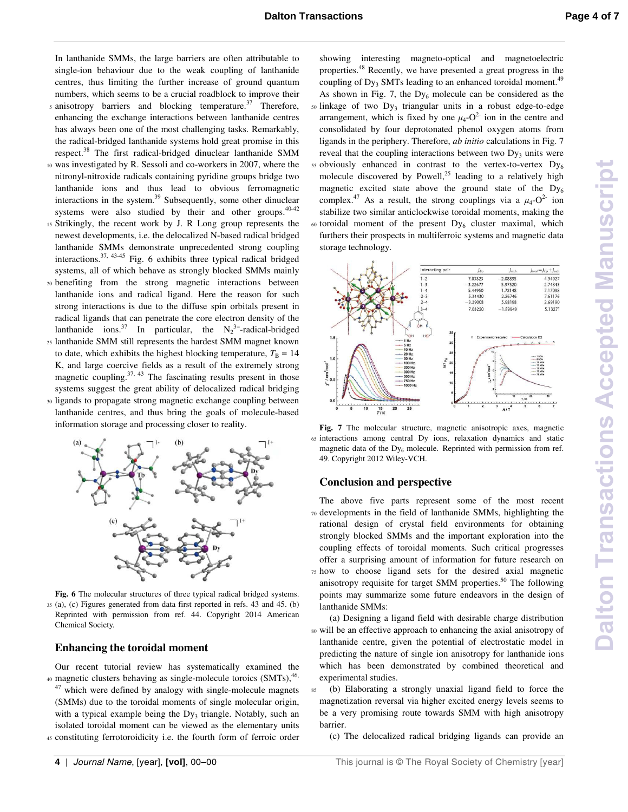In lanthanide SMMs, the large barriers are often attributable to single-ion behaviour due to the weak coupling of lanthanide centres, thus limiting the further increase of ground quantum numbers, which seems to be a crucial roadblock to improve their

- $s$  anisotropy barriers and blocking temperature.<sup>37</sup> Therefore, enhancing the exchange interactions between lanthanide centres has always been one of the most challenging tasks. Remarkably, the radical-bridged lanthanide systems hold great promise in this respect.<sup>38</sup> The first radical-bridged dinuclear lanthanide SMM
- <sup>10</sup>was investigated by R. Sessoli and co-workers in 2007, where the nitronyl-nitroxide radicals containing pyridine groups bridge two lanthanide ions and thus lead to obvious ferromagnetic interactions in the system.<sup>39</sup> Subsequently, some other dinuclear systems were also studied by their and other groups.<sup>40-42</sup>
- <sup>15</sup>Strikingly, the recent work by J. R Long group represents the newest developments, i.e. the delocalized N-based radical bridged lanthanide SMMs demonstrate unprecedented strong coupling interactions.37, 43-45 Fig. 6 exhibits three typical radical bridged systems, all of which behave as strongly blocked SMMs mainly
- <sup>20</sup>benefiting from the strong magnetic interactions between lanthanide ions and radical ligand. Here the reason for such strong interactions is due to the diffuse spin orbitals present in radical ligands that can penetrate the core electron density of the lanthanide ions.<sup>37</sup> In particular, the  $N_2^3$ -radical-bridged <sup>25</sup>lanthanide SMM still represents the hardest SMM magnet known
- to date, which exhibits the highest blocking temperature,  $T_B = 14$ K, and large coercive fields as a result of the extremely strong magnetic coupling. $37, 43$  The fascinating results present in those systems suggest the great ability of delocalized radical bridging
- <sup>30</sup>ligands to propagate strong magnetic exchange coupling between lanthanide centres, and thus bring the goals of molecule-based information storage and processing closer to reality.



**Fig. 6** The molecular structures of three typical radical bridged systems. <sup>35</sup>(a), (c) Figures generated from data first reported in refs. 43 and 45. (b) Reprinted with permission from ref. 44. Copyright 2014 American Chemical Society.

#### **Enhancing the toroidal moment**

Our recent tutorial review has systematically examined the 40 magnetic clusters behaving as single-molecule toroics (SMTs), 46,  $47$  which were defined by analogy with single-molecule magnets

(SMMs) due to the toroidal moments of single molecular origin, with a typical example being the Dy<sub>3</sub> triangle. Notably, such an isolated toroidal moment can be viewed as the elementary units 45 constituting ferrotoroidicity i.e. the fourth form of ferroic order

showing interesting magneto-optical and magnetoelectric properties.<sup>48</sup> Recently, we have presented a great progress in the coupling of Dy<sub>3</sub> SMTs leading to an enhanced toroidal moment.<sup>49</sup> As shown in Fig. 7, the  $Dy_6$  molecule can be considered as the <sub>50</sub> linkage of two Dy<sub>3</sub> triangular units in a robust edge-to-edge arrangement, which is fixed by one  $\mu_4$ - $O^2$  ion in the centre and consolidated by four deprotonated phenol oxygen atoms from ligands in the periphery. Therefore, *ab initio* calculations in Fig. 7 reveal that the coupling interactions between two  $Dy_3$  units were  $55$  obviously enhanced in contrast to the vertex-to-vertex  $Dy_6$ molecule discovered by Powell,<sup>25</sup> leading to a relatively high magnetic excited state above the ground state of the  $Dy_6$ complex.<sup>47</sup> As a result, the strong couplings via a  $\mu_4$ -O<sup>2-</sup> ion stabilize two similar anticlockwise toroidal moments, making the  $\omega$  toroidal moment of the present Dy<sub>6</sub> cluster maximal, which furthers their prospects in multiferroic systems and magnetic data storage technology.



**Fig. 7** The molecular structure, magnetic anisotropic axes, magnetic <sup>65</sup>interactions among central Dy ions, relaxation dynamics and static magnetic data of the  $Dy_6$  molecule. Reprinted with permission from ref. 49. Copyright 2012 Wiley-VCH.

#### **Conclusion and perspective**

The above five parts represent some of the most recent <sup>70</sup>developments in the field of lanthanide SMMs, highlighting the rational design of crystal field environments for obtaining strongly blocked SMMs and the important exploration into the coupling effects of toroidal moments. Such critical progresses offer a surprising amount of information for future research on <sup>75</sup>how to choose ligand sets for the desired axial magnetic anisotropy requisite for target SMM properties.<sup>50</sup> The following points may summarize some future endeavors in the design of lanthanide SMMs:

 (a) Designing a ligand field with desirable charge distribution <sup>80</sup>will be an effective approach to enhancing the axial anisotropy of lanthanide centre, given the potential of electrostatic model in predicting the nature of single ion anisotropy for lanthanide ions which has been demonstrated by combined theoretical and experimental studies.

<sup>85</sup>(b) Elaborating a strongly unaxial ligand field to force the magnetization reversal via higher excited energy levels seems to be a very promising route towards SMM with high anisotropy barrier.

(c) The delocalized radical bridging ligands can provide an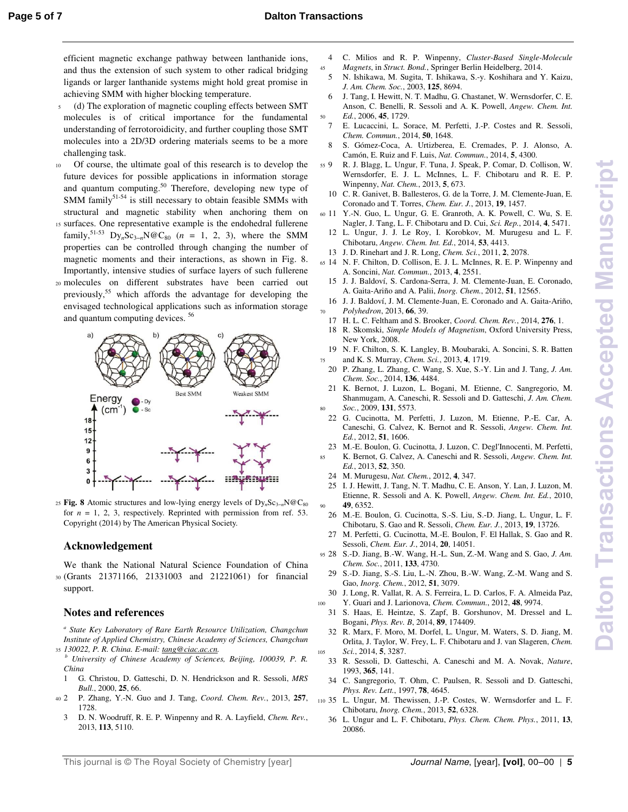efficient magnetic exchange pathway between lanthanide ions, and thus the extension of such system to other radical bridging ligands or larger lanthanide systems might hold great promise in achieving SMM with higher blocking temperature.

- <sup>5</sup>(d) The exploration of magnetic coupling effects between SMT molecules is of critical importance for the fundamental understanding of ferrotoroidicity, and further coupling those SMT molecules into a 2D/3D ordering materials seems to be a more challenging task.
- 10 Of course, the ultimate goal of this research is to develop the future devices for possible applications in information storage and quantum computing.<sup>50</sup> Therefore, developing new type of SMM family $51-54$  is still necessary to obtain feasible SMMs with structural and magnetic stability when anchoring them on
- 15 surfaces. One representative example is the endohedral fullerene family,<sup>51-53</sup> Dy<sub>n</sub>Sc<sub>3−*n*</sub>N@C<sub>80</sub> (*n* = 1, 2, 3), where the SMM properties can be controlled through changing the number of magnetic moments and their interactions, as shown in Fig. 8. Importantly, intensive studies of surface layers of such fullerene
- <sup>20</sup>molecules on different substrates have been carried out previously,  $55$  which affords the advantage for developing the envisaged technological applications such as information storage and quantum computing devices. <sup>56</sup>



25 Fig. 8 Atomic structures and low-lying energy levels of Dy<sub>n</sub>Sc<sub>3−*n*</sub>N@C<sub>80</sub> for  $n = 1, 2, 3$ , respectively. Reprinted with permission from ref. 53. Copyright (2014) by The American Physical Society.

#### **Acknowledgement**

We thank the National Natural Science Foundation of China <sup>30</sup>(Grants 21371166, 21331003 and 21221061) for financial support.

#### **Notes and references**

<sup>a</sup> State Key Laboratory of Rare Earth Resource Utilization, Changchun *Institute of Applied Chemistry, Chinese Academy of Sciences, Changchun*  <sup>35</sup>*130022, P. R. China. E-mail: tang@ciac.ac.cn.* 

- *<sup>b</sup> University of Chinese Academy of Sciences, Beijing, 100039, P. R. China*
- 1 G. Christou, D. Gatteschi, D. N. Hendrickson and R. Sessoli, *MRS Bull.*, 2000, **25**, 66.
- <sup>40</sup>2 P. Zhang, Y.-N. Guo and J. Tang, *Coord. Chem. Rev.*, 2013, **257**, 1728.
- 3 D. N. Woodruff, R. E. P. Winpenny and R. A. Layfield, *Chem. Rev.*, 2013, **113**, 5110.
- 4 C. Milios and R. P. Winpenny, *Cluster-Based Single-Molecule*  <sup>45</sup>*Magnets*, in *Struct. Bond.*, Springer Berlin Heidelberg, 2014.
- 5 N. Ishikawa, M. Sugita, T. Ishikawa, S.-y. Koshihara and Y. Kaizu, *J. Am. Chem. Soc.*, 2003, **125**, 8694.
- 6 J. Tang, I. Hewitt, N. T. Madhu, G. Chastanet, W. Wernsdorfer, C. E. Anson, C. Benelli, R. Sessoli and A. K. Powell, *Angew. Chem. Int.*  <sup>50</sup>*Ed.*, 2006, **45**, 1729.
- 7 E. Lucaccini, L. Sorace, M. Perfetti, J.-P. Costes and R. Sessoli, *Chem. Commun.*, 2014, **50**, 1648.
- 8 S. Gómez-Coca, A. Urtizberea, E. Cremades, P. J. Alonso, A. Camón, E. Ruiz and F. Luis, *Nat. Commun.*, 2014, **5**, 4300.
- <sup>55</sup>9 R. J. Blagg, L. Ungur, F. Tuna, J. Speak, P. Comar, D. Collison, W. Wernsdorfer, E. J. L. McInnes, L. F. Chibotaru and R. E. P. Winpenny, *Nat. Chem.*, 2013, **5**, 673.
	- 10 C. R. Ganivet, B. Ballesteros, G. de la Torre, J. M. Clemente-Juan, E. Coronado and T. Torres, *Chem. Eur. J.*, 2013, **19**, 1457.
- <sup>60</sup>11 Y.-N. Guo, L. Ungur, G. E. Granroth, A. K. Powell, C. Wu, S. E. Nagler, J. Tang, L. F. Chibotaru and D. Cui, *Sci. Rep.*, 2014, **4**, 5471.
- 12 L. Ungur, J. J. Le Roy, I. Korobkov, M. Murugesu and L. F. Chibotaru, *Angew. Chem. Int. Ed.*, 2014, **53**, 4413.
- 13 J. D. Rinehart and J. R. Long, *Chem. Sci.*, 2011, **2**, 2078.
- <sup>65</sup>14 N. F. Chilton, D. Collison, E. J. L. McInnes, R. E. P. Winpenny and A. Soncini, *Nat. Commun.*, 2013, **4**, 2551.
- 15 J. J. Baldoví, S. Cardona-Serra, J. M. Clemente-Juan, E. Coronado, A. Gaita-Ariño and A. Palii, *Inorg. Chem.*, 2012, **51**, 12565.
- 16 J. J. Baldoví, J. M. Clemente-Juan, E. Coronado and A. Gaita-Ariño, <sup>70</sup>*Polyhedron*, 2013, **66**, 39.
- 17 H. L. C. Feltham and S. Brooker, *Coord. Chem. Rev.*, 2014, **276**, 1.
- 18 R. Skomski, *Simple Models of Magnetism*, Oxford University Press, New York, 2008.
- 19 N. F. Chilton, S. K. Langley, B. Moubaraki, A. Soncini, S. R. Batten <sup>75</sup>and K. S. Murray, *Chem. Sci.*, 2013, **4**, 1719.
- 20 P. Zhang, L. Zhang, C. Wang, S. Xue, S.-Y. Lin and J. Tang, *J. Am. Chem. Soc.*, 2014, **136**, 4484.
- 21 K. Bernot, J. Luzon, L. Bogani, M. Etienne, C. Sangregorio, M. Shanmugam, A. Caneschi, R. Sessoli and D. Gatteschi, *J. Am. Chem.*  <sup>80</sup>*Soc.*, 2009, **131**, 5573.
- 22 G. Cucinotta, M. Perfetti, J. Luzon, M. Etienne, P.-E. Car, A. Caneschi, G. Calvez, K. Bernot and R. Sessoli, *Angew. Chem. Int. Ed.*, 2012, **51**, 1606.
- 23 M.-E. Boulon, G. Cucinotta, J. Luzon, C. Degl'Innocenti, M. Perfetti, <sup>85</sup>K. Bernot, G. Calvez, A. Caneschi and R. Sessoli, *Angew. Chem. Int. Ed.*, 2013, **52**, 350.
	- 24 M. Murugesu, *Nat. Chem.*, 2012, **4**, 347.
- 25 I. J. Hewitt, J. Tang, N. T. Madhu, C. E. Anson, Y. Lan, J. Luzon, M. Etienne, R. Sessoli and A. K. Powell, *Angew. Chem. Int. Ed.*, 2010, <sup>90</sup>**49**, 6352.
- 26 M.-E. Boulon, G. Cucinotta, S.-S. Liu, S.-D. Jiang, L. Ungur, L. F. Chibotaru, S. Gao and R. Sessoli, *Chem. Eur. J.*, 2013, **19**, 13726.
- 27 M. Perfetti, G. Cucinotta, M.-E. Boulon, F. El Hallak, S. Gao and R. Sessoli, *Chem. Eur. J.*, 2014, **20**, 14051.
- <sup>95</sup>28 S.-D. Jiang, B.-W. Wang, H.-L. Sun, Z.-M. Wang and S. Gao, *J. Am. Chem. Soc.*, 2011, **133**, 4730.
	- 29 S.-D. Jiang, S.-S. Liu, L.-N. Zhou, B.-W. Wang, Z.-M. Wang and S. Gao, *Inorg. Chem.*, 2012, **51**, 3079.
- 30 J. Long, R. Vallat, R. A. S. Ferreira, L. D. Carlos, F. A. Almeida Paz, <sup>100</sup>Y. Guari and J. Larionova, *Chem. Commun.*, 2012, **48**, 9974.
	- 31 S. Haas, E. Heintze, S. Zapf, B. Gorshunov, M. Dressel and L. Bogani, *Phys. Rev. B*, 2014, **89**, 174409.
- 32 R. Marx, F. Moro, M. Dorfel, L. Ungur, M. Waters, S. D. Jiang, M. Orlita, J. Taylor, W. Frey, L. F. Chibotaru and J. van Slageren, *Chem.*  <sup>105</sup>*Sci.*, 2014, **5**, 3287.
	- 33 R. Sessoli, D. Gatteschi, A. Caneschi and M. A. Novak, *Nature*, 1993, **365**, 141.
	- 34 C. Sangregorio, T. Ohm, C. Paulsen, R. Sessoli and D. Gatteschi, *Phys. Rev. Lett.*, 1997, **78**, 4645.
- <sup>110</sup>35 L. Ungur, M. Thewissen, J.-P. Costes, W. Wernsdorfer and L. F. Chibotaru, *Inorg. Chem.*, 2013, **52**, 6328.
	- 36 L. Ungur and L. F. Chibotaru, *Phys. Chem. Chem. Phys.*, 2011, **13**, 20086.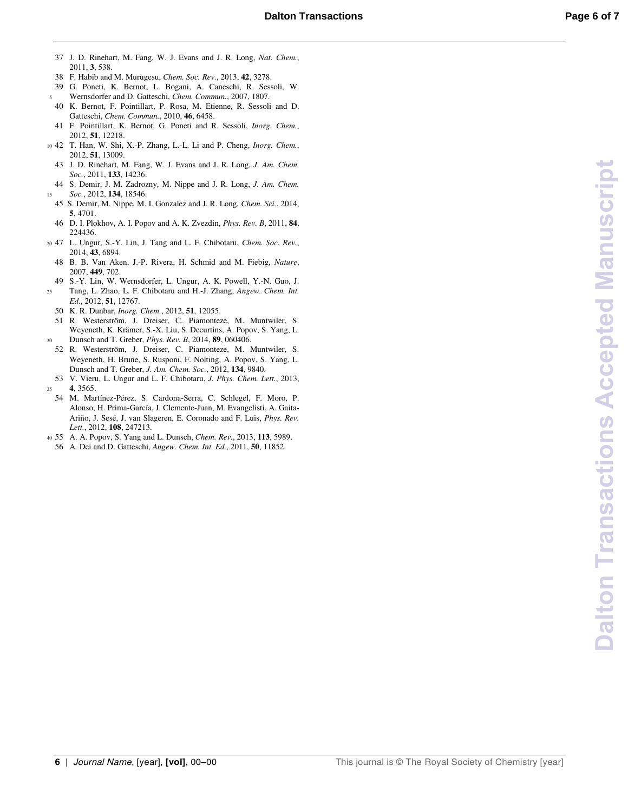**Dalton Transactions Accepted Manuscript Dalton Transactions Accepted Manuscript**

- 37 J. D. Rinehart, M. Fang, W. J. Evans and J. R. Long, *Nat. Chem.*, 2011, **3**, 538.
- 38 F. Habib and M. Murugesu, *Chem. Soc. Rev.*, 2013, **42**, 3278.
- 39 G. Poneti, K. Bernot, L. Bogani, A. Caneschi, R. Sessoli, W. <sup>5</sup>Wernsdorfer and D. Gatteschi, *Chem. Commun.*, 2007, 1807.
- 40 K. Bernot, F. Pointillart, P. Rosa, M. Etienne, R. Sessoli and D. Gatteschi, *Chem. Commun.*, 2010, **46**, 6458.
- 41 F. Pointillart, K. Bernot, G. Poneti and R. Sessoli, *Inorg. Chem.*, 2012, **51**, 12218.
- <sup>10</sup>42 T. Han, W. Shi, X.-P. Zhang, L.-L. Li and P. Cheng, *Inorg. Chem.*, 2012, **51**, 13009.
	- 43 J. D. Rinehart, M. Fang, W. J. Evans and J. R. Long, *J. Am. Chem. Soc.*, 2011, **133**, 14236.
- 44 S. Demir, J. M. Zadrozny, M. Nippe and J. R. Long, *J. Am. Chem.*  <sup>15</sup>*Soc.*, 2012, **134**, 18546.
- 45 S. Demir, M. Nippe, M. I. Gonzalez and J. R. Long, *Chem. Sci.*, 2014, **5**, 4701.
- 46 D. I. Plokhov, A. I. Popov and A. K. Zvezdin, *Phys. Rev. B*, 2011, **84**, 224436.
- <sup>20</sup>47 L. Ungur, S.-Y. Lin, J. Tang and L. F. Chibotaru, *Chem. Soc. Rev.*, 2014, **43**, 6894.
	- 48 B. B. Van Aken, J.-P. Rivera, H. Schmid and M. Fiebig, *Nature*, 2007, **449**, 702.
- 49 S.-Y. Lin, W. Wernsdorfer, L. Ungur, A. K. Powell, Y.-N. Guo, J. <sup>25</sup>Tang, L. Zhao, L. F. Chibotaru and H.-J. Zhang, *Angew. Chem. Int. Ed.*, 2012, **51**, 12767.
	- 50 K. R. Dunbar, *Inorg. Chem.*, 2012, **51**, 12055.
- 51 R. Westerström, J. Dreiser, C. Piamonteze, M. Muntwiler, S. Weyeneth, K. Krämer, S.-X. Liu, S. Decurtins, A. Popov, S. Yang, L. <sup>30</sup>Dunsch and T. Greber, *Phys. Rev. B*, 2014, **89**, 060406.
- 52 R. Westerström, J. Dreiser, C. Piamonteze, M. Muntwiler, S. Weyeneth, H. Brune, S. Rusponi, F. Nolting, A. Popov, S. Yang, L. Dunsch and T. Greber, *J. Am. Chem. Soc.*, 2012, **134**, 9840.
- 53 V. Vieru, L. Ungur and L. F. Chibotaru, *J. Phys. Chem. Lett.*, 2013, <sup>35</sup>**4**, 3565.
- 54 M. Martínez-Pérez, S. Cardona-Serra, C. Schlegel, F. Moro, P. Alonso, H. Prima-García, J. Clemente-Juan, M. Evangelisti, A. Gaita-Ariño, J. Sesé, J. van Slageren, E. Coronado and F. Luis, *Phys. Rev. Lett.*, 2012, **108**, 247213.
- <sup>40</sup>55 A. A. Popov, S. Yang and L. Dunsch, *Chem. Rev.*, 2013, **113**, 5989.
- 56 A. Dei and D. Gatteschi, *Angew. Chem. Int. Ed.*, 2011, **50**, 11852.